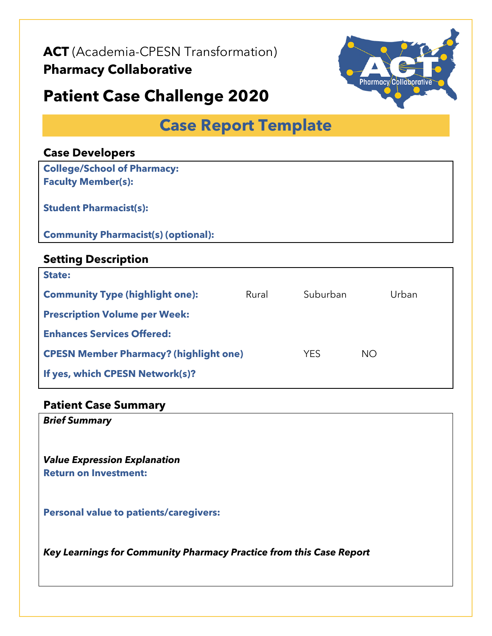**ACT** (Academia-CPESN Transformation)

## **Pharmacy Collaborative**

# **Patient Case Challenge 2020**



## **Case Report Template**

| <b>Case Developers</b>                        |       |            |           |       |
|-----------------------------------------------|-------|------------|-----------|-------|
| <b>College/School of Pharmacy:</b>            |       |            |           |       |
| <b>Faculty Member(s):</b>                     |       |            |           |       |
| <b>Student Pharmacist(s):</b>                 |       |            |           |       |
| <b>Community Pharmacist(s) (optional):</b>    |       |            |           |       |
| <b>Setting Description</b>                    |       |            |           |       |
| <b>State:</b>                                 |       |            |           |       |
| <b>Community Type (highlight one):</b>        | Rural | Suburban   |           | Urban |
| <b>Prescription Volume per Week:</b>          |       |            |           |       |
| <b>Enhances Services Offered:</b>             |       |            |           |       |
| <b>CPESN Member Pharmacy? (highlight one)</b> |       | <b>YES</b> | <b>NO</b> |       |
| If yes, which CPESN Network(s)?               |       |            |           |       |

#### **Patient Case Summary**

*Brief Summary*

*Value Expression Explanation*  **Return on Investment:**

**Personal value to patients/caregivers:**

*Key Learnings for Community Pharmacy Practice from this Case Report*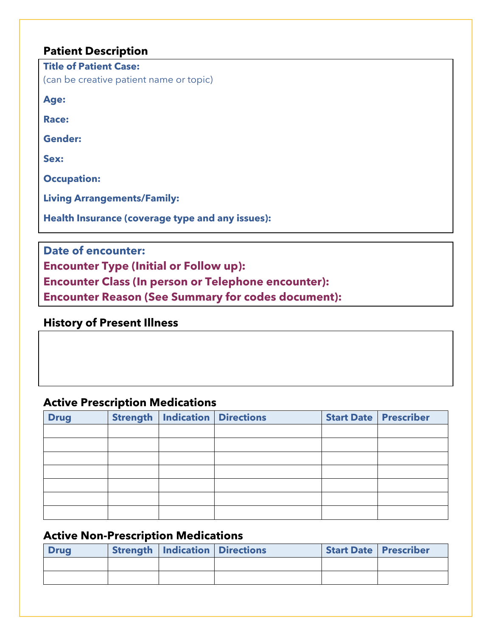#### **Patient Description**

| <b>Title of Patient Case:</b> |                                         |
|-------------------------------|-----------------------------------------|
|                               | (can be creative patient name or topic) |

**Age:**

**Race:**

**Gender:**

**Sex:**

**Occupation:**

**Living Arrangements/Family:**

**Health Insurance (coverage type and any issues):**

**Date of encounter:**

**Encounter Type (Initial or Follow up):**

**Encounter Class (In person or Telephone encounter):**

**Encounter Reason (See Summary for codes document):**

**History of Present Illness**

#### **Active Prescription Medications**

| <b>Drug</b> | <b>Strength</b> | <b>Indication Directions</b> |  | <b>Start Date Prescriber</b> |
|-------------|-----------------|------------------------------|--|------------------------------|
|             |                 |                              |  |                              |
|             |                 |                              |  |                              |
|             |                 |                              |  |                              |
|             |                 |                              |  |                              |
|             |                 |                              |  |                              |
|             |                 |                              |  |                              |
|             |                 |                              |  |                              |

## **Active Non-Prescription Medications**

| <b>Drug</b> | <b>Strength   Indication   Directions  </b> | <b>Start Date   Prescriber</b> |  |
|-------------|---------------------------------------------|--------------------------------|--|
|             |                                             |                                |  |
|             |                                             |                                |  |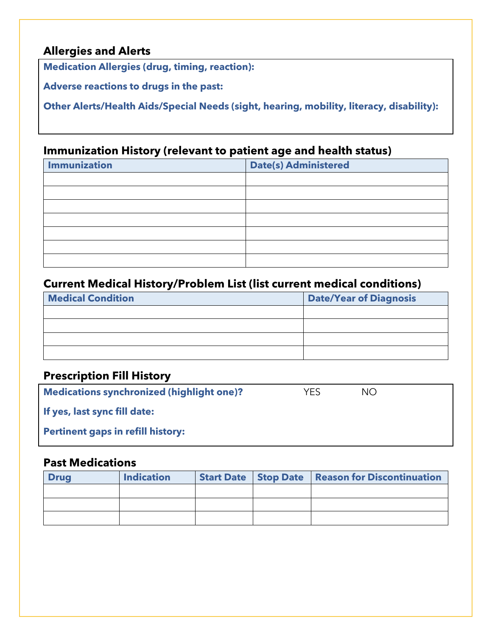#### **Allergies and Alerts**

**Medication Allergies (drug, timing, reaction):** 

**Adverse reactions to drugs in the past:**

**Other Alerts/Health Aids/Special Needs (sight, hearing, mobility, literacy, disability):**

## **Immunization History (relevant to patient age and health status)**

| <b>Immunization</b> | Date(s) Administered |
|---------------------|----------------------|
|                     |                      |
|                     |                      |
|                     |                      |
|                     |                      |
|                     |                      |
|                     |                      |
|                     |                      |

## **Current Medical History/Problem List (list current medical conditions)**

| <b>Medical Condition</b> | <b>Date/Year of Diagnosis</b> |
|--------------------------|-------------------------------|
|                          |                               |
|                          |                               |
|                          |                               |
|                          |                               |

#### **Prescription Fill History**

| <b>Medications synchronized (highlight one)?</b> | YFS | NO. |  |
|--------------------------------------------------|-----|-----|--|
| If yes, last sync fill date:                     |     |     |  |
| <b>Pertinent gaps in refill history:</b>         |     |     |  |

## **Past Medications**

| <b>Drug</b> | <b>Indication</b> |  | Start Date   Stop Date   Reason for Discontinuation |
|-------------|-------------------|--|-----------------------------------------------------|
|             |                   |  |                                                     |
|             |                   |  |                                                     |
|             |                   |  |                                                     |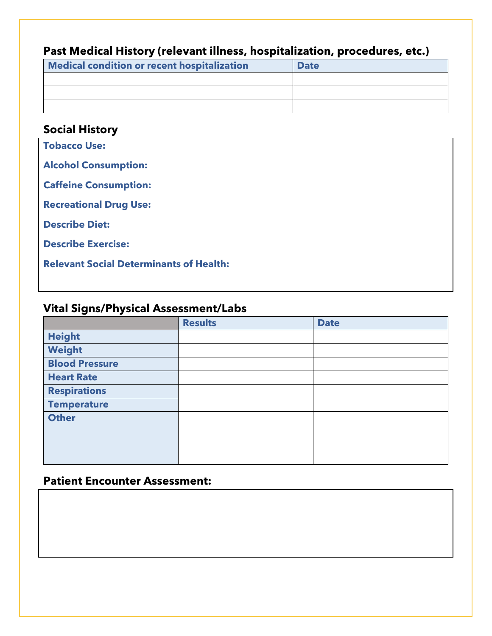#### **Past Medical History (relevant illness, hospitalization, procedures, etc.)**

| Medical condition or recent hospitalization | <b>Date</b> |
|---------------------------------------------|-------------|
|                                             |             |
|                                             |             |
|                                             |             |

#### **Social History**

**Tobacco Use: Alcohol Consumption: Caffeine Consumption: Recreational Drug Use: Describe Diet: Describe Exercise: Relevant Social Determinants of Health:**

#### **Vital Signs/Physical Assessment/Labs**

|                       | <b>Results</b> | <b>Date</b> |
|-----------------------|----------------|-------------|
| <b>Height</b>         |                |             |
| Weight                |                |             |
| <b>Blood Pressure</b> |                |             |
| <b>Heart Rate</b>     |                |             |
| <b>Respirations</b>   |                |             |
| <b>Temperature</b>    |                |             |
| <b>Other</b>          |                |             |
|                       |                |             |
|                       |                |             |
|                       |                |             |

## **Patient Encounter Assessment:**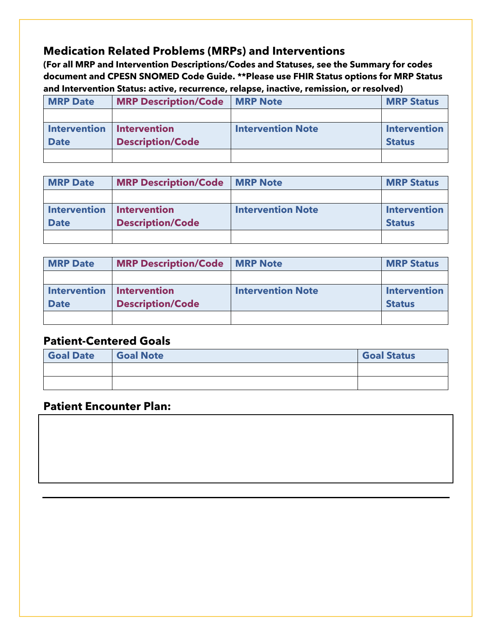## **Medication Related Problems (MRPs) and Interventions**

**(For all MRP and Intervention Descriptions/Codes and Statuses, see the Summary for codes document and CPESN SNOMED Code Guide. \*\*Please use FHIR Status options for MRP Status and Intervention Status: active, recurrence, relapse, inactive, remission, or resolved)**

| <b>MRP Date</b> | <b>MRP Description/Code</b> | <b>MRP Note</b>          | <b>MRP Status</b>   |
|-----------------|-----------------------------|--------------------------|---------------------|
|                 |                             |                          |                     |
| Intervention    | <b>Intervention</b>         | <b>Intervention Note</b> | <b>Intervention</b> |
| <b>Date</b>     | <b>Description/Code</b>     |                          | <b>Status</b>       |
|                 |                             |                          |                     |

| <b>MRP Date</b>           | <b>MRP Description/Code   MRP Note</b> |                          | <b>MRP Status</b>   |
|---------------------------|----------------------------------------|--------------------------|---------------------|
|                           |                                        |                          |                     |
| Intervention Intervention |                                        | <b>Intervention Note</b> | <b>Intervention</b> |
| <b>Date</b>               | <b>Description/Code</b>                |                          | <b>Status</b>       |
|                           |                                        |                          |                     |

| <b>MRP Date</b>             | <b>MRP Description/Code   MRP Note</b> |                          | <b>MRP Status</b>   |
|-----------------------------|----------------------------------------|--------------------------|---------------------|
|                             |                                        |                          |                     |
| Intervention   Intervention |                                        | <b>Intervention Note</b> | <b>Intervention</b> |
| <b>Date</b>                 | <b>Description/Code</b>                |                          | <b>Status</b>       |
|                             |                                        |                          |                     |

## **Patient-Centered Goals**

| <b>Goal Date</b> | <b>Goal Note</b> | <b>Goal Status</b> |
|------------------|------------------|--------------------|
|                  |                  |                    |
|                  |                  |                    |

#### **Patient Encounter Plan:**